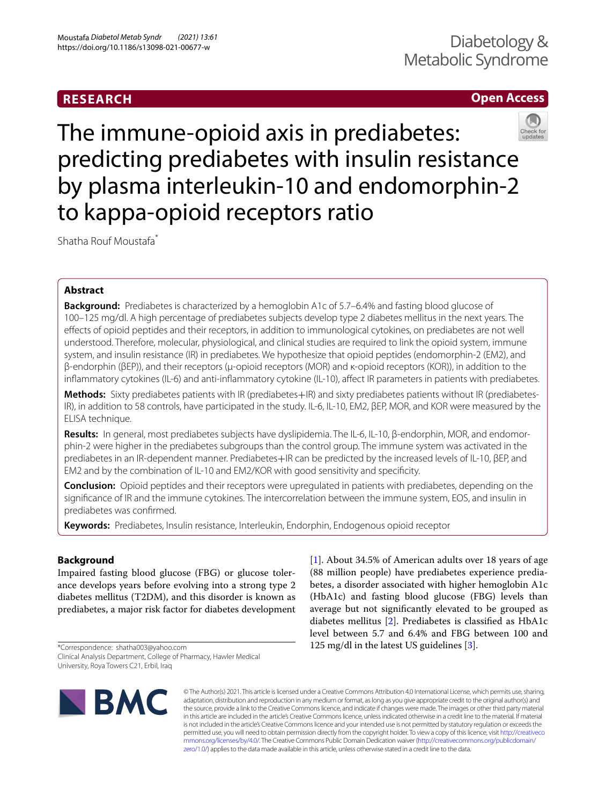# **RESEARCH**

# **Open Access**



The immune-opioid axis in prediabetes: predicting prediabetes with insulin resistance by plasma interleukin-10 and endomorphin-2 to kappa-opioid receptors ratio

Shatha Rouf Moustafa\*

# **Abstract**

**Background:** Prediabetes is characterized by a hemoglobin A1c of 5.7–6.4% and fasting blood glucose of 100–125 mg/dl. A high percentage of prediabetes subjects develop type 2 diabetes mellitus in the next years. The efects of opioid peptides and their receptors, in addition to immunological cytokines, on prediabetes are not well understood. Therefore, molecular, physiological, and clinical studies are required to link the opioid system, immune system, and insulin resistance (IR) in prediabetes. We hypothesize that opioid peptides (endomorphin-2 (EM2), and β-endorphin (βEP)), and their receptors (µ-opioid receptors (MOR) and κ-opioid receptors (KOR)), in addition to the infammatory cytokines (IL-6) and anti-infammatory cytokine (IL-10), afect IR parameters in patients with prediabetes.

**Methods:** Sixty prediabetes patients with IR (prediabetes+IR) and sixty prediabetes patients without IR (prediabetes-IR), in addition to 58 controls, have participated in the study. IL-6, IL-10, EM2, βEP, MOR, and KOR were measured by the ELISA technique.

**Results:** In general, most prediabetes subjects have dyslipidemia. The IL-6, IL-10, β-endorphin, MOR, and endomorphin-2 were higher in the prediabetes subgroups than the control group. The immune system was activated in the prediabetes in an IR-dependent manner. Prediabetes+IR can be predicted by the increased levels of IL-10, βEP, and EM2 and by the combination of IL-10 and EM2/KOR with good sensitivity and specifcity.

**Conclusion:** Opioid peptides and their receptors were upregulated in patients with prediabetes, depending on the signifcance of IR and the immune cytokines. The intercorrelation between the immune system, EOS, and insulin in prediabetes was confrmed.

**Keywords:** Prediabetes, Insulin resistance, Interleukin, Endorphin, Endogenous opioid receptor

# **Background**

Impaired fasting blood glucose (FBG) or glucose tolerance develops years before evolving into a strong type 2 diabetes mellitus (T2DM), and this disorder is known as prediabetes, a major risk factor for diabetes development

\*Correspondence: shatha003@yahoo.com Clinical Analysis Department, College of Pharmacy, Hawler Medical University, Roya Towers C21, Erbil, Iraq

[[1\]](#page-9-0). About 34.5% of American adults over 18 years of age (88 million people) have prediabetes experience prediabetes, a disorder associated with higher hemoglobin A1c (HbA1c) and fasting blood glucose (FBG) levels than average but not signifcantly elevated to be grouped as diabetes mellitus [[2](#page-9-1)]. Prediabetes is classifed as HbA1c level between 5.7 and 6.4% and FBG between 100 and 125 mg/dl in the latest US guidelines [[3\]](#page-9-2).



© The Author(s) 2021. This article is licensed under a Creative Commons Attribution 4.0 International License, which permits use, sharing, adaptation, distribution and reproduction in any medium or format, as long as you give appropriate credit to the original author(s) and the source, provide a link to the Creative Commons licence, and indicate if changes were made. The images or other third party material in this article are included in the article's Creative Commons licence, unless indicated otherwise in a credit line to the material. If material is not included in the article's Creative Commons licence and your intended use is not permitted by statutory regulation or exceeds the permitted use, you will need to obtain permission directly from the copyright holder. To view a copy of this licence, visit [http://creativeco](http://creativecommons.org/licenses/by/4.0/) [mmons.org/licenses/by/4.0/.](http://creativecommons.org/licenses/by/4.0/) The Creative Commons Public Domain Dedication waiver ([http://creativecommons.org/publicdomain/](http://creativecommons.org/publicdomain/zero/1.0/) [zero/1.0/\)](http://creativecommons.org/publicdomain/zero/1.0/) applies to the data made available in this article, unless otherwise stated in a credit line to the data.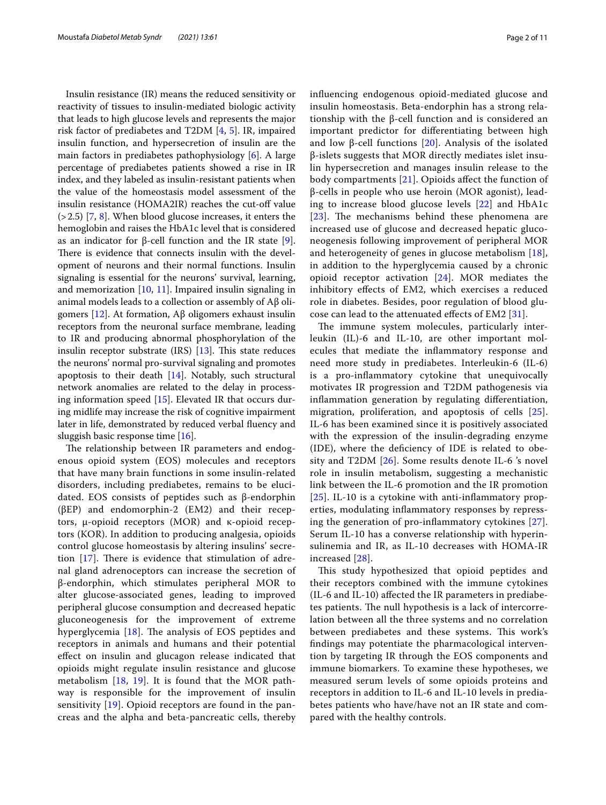Insulin resistance (IR) means the reduced sensitivity or reactivity of tissues to insulin-mediated biologic activity that leads to high glucose levels and represents the major risk factor of prediabetes and T2DM [\[4](#page-9-3), [5](#page-9-4)]. IR, impaired insulin function, and hypersecretion of insulin are the main factors in prediabetes pathophysiology [[6\]](#page-9-5). A large percentage of prediabetes patients showed a rise in IR index, and they labeled as insulin-resistant patients when the value of the homeostasis model assessment of the insulin resistance (HOMA2IR) reaches the cut-off value  $(2.5)$  [[7,](#page-9-6) [8\]](#page-9-7). When blood glucose increases, it enters the hemoglobin and raises the HbA1c level that is considered as an indicator for β-cell function and the IR state [\[9](#page-9-8)]. There is evidence that connects insulin with the development of neurons and their normal functions. Insulin signaling is essential for the neurons' survival, learning, and memorization [[10,](#page-9-9) [11\]](#page-9-10). Impaired insulin signaling in animal models leads to a collection or assembly of Aβ oligomers [[12\]](#page-9-11). At formation, Aβ oligomers exhaust insulin receptors from the neuronal surface membrane, leading to IR and producing abnormal phosphorylation of the insulin receptor substrate  $(IRS)$  [[13\]](#page-9-12). This state reduces the neurons' normal pro-survival signaling and promotes apoptosis to their death  $[14]$ . Notably, such structural network anomalies are related to the delay in processing information speed [[15](#page-9-14)]. Elevated IR that occurs during midlife may increase the risk of cognitive impairment later in life, demonstrated by reduced verbal fuency and sluggish basic response time [[16](#page-9-15)].

The relationship between IR parameters and endogenous opioid system (EOS) molecules and receptors that have many brain functions in some insulin-related disorders, including prediabetes, remains to be elucidated. EOS consists of peptides such as β-endorphin (βEP) and endomorphin-2 (EM2) and their receptors, µ-opioid receptors (MOR) and κ-opioid receptors (KOR). In addition to producing analgesia, opioids control glucose homeostasis by altering insulins' secretion  $[17]$  $[17]$ . There is evidence that stimulation of adrenal gland adrenoceptors can increase the secretion of β-endorphin, which stimulates peripheral MOR to alter glucose-associated genes, leading to improved peripheral glucose consumption and decreased hepatic gluconeogenesis for the improvement of extreme hyperglycemia  $[18]$  $[18]$  $[18]$ . The analysis of EOS peptides and receptors in animals and humans and their potential efect on insulin and glucagon release indicated that opioids might regulate insulin resistance and glucose metabolism [[18,](#page-9-17) [19\]](#page-9-18). It is found that the MOR pathway is responsible for the improvement of insulin sensitivity [[19\]](#page-9-18). Opioid receptors are found in the pancreas and the alpha and beta-pancreatic cells, thereby infuencing endogenous opioid-mediated glucose and insulin homeostasis. Beta-endorphin has a strong relationship with the β-cell function and is considered an important predictor for diferentiating between high and low β-cell functions [\[20\]](#page-9-19). Analysis of the isolated β-islets suggests that MOR directly mediates islet insulin hypersecretion and manages insulin release to the body compartments [[21\]](#page-9-20). Opioids afect the function of β-cells in people who use heroin (MOR agonist), leading to increase blood glucose levels [[22](#page-9-21)] and HbA1c  $[23]$  $[23]$  $[23]$ . The mechanisms behind these phenomena are increased use of glucose and decreased hepatic gluconeogenesis following improvement of peripheral MOR and heterogeneity of genes in glucose metabolism [[18\]](#page-9-17), in addition to the hyperglycemia caused by a chronic opioid receptor activation [\[24](#page-9-23)]. MOR mediates the inhibitory effects of EM2, which exercises a reduced role in diabetes. Besides, poor regulation of blood glucose can lead to the attenuated efects of EM2 [\[31](#page-9-24)].

The immune system molecules, particularly interleukin (IL)-6 and IL-10, are other important molecules that mediate the infammatory response and need more study in prediabetes. Interleukin-6 (IL-6) is a pro-infammatory cytokine that unequivocally motivates IR progression and T2DM pathogenesis via infammation generation by regulating diferentiation, migration, proliferation, and apoptosis of cells [[25](#page-9-25)]. IL-6 has been examined since it is positively associated with the expression of the insulin-degrading enzyme (IDE), where the defciency of IDE is related to obesity and T2DM [[26\]](#page-9-26). Some results denote IL-6 's novel role in insulin metabolism, suggesting a mechanistic link between the IL-6 promotion and the IR promotion [[25](#page-9-25)]. IL-10 is a cytokine with anti-inflammatory properties, modulating infammatory responses by repressing the generation of pro-infammatory cytokines [[27\]](#page-9-27). Serum IL-10 has a converse relationship with hyperinsulinemia and IR, as IL-10 decreases with HOMA-IR increased [[28\]](#page-9-28).

This study hypothesized that opioid peptides and their receptors combined with the immune cytokines (IL-6 and IL-10) afected the IR parameters in prediabetes patients. The null hypothesis is a lack of intercorrelation between all the three systems and no correlation between prediabetes and these systems. This work's fndings may potentiate the pharmacological intervention by targeting IR through the EOS components and immune biomarkers. To examine these hypotheses, we measured serum levels of some opioids proteins and receptors in addition to IL-6 and IL-10 levels in prediabetes patients who have/have not an IR state and compared with the healthy controls.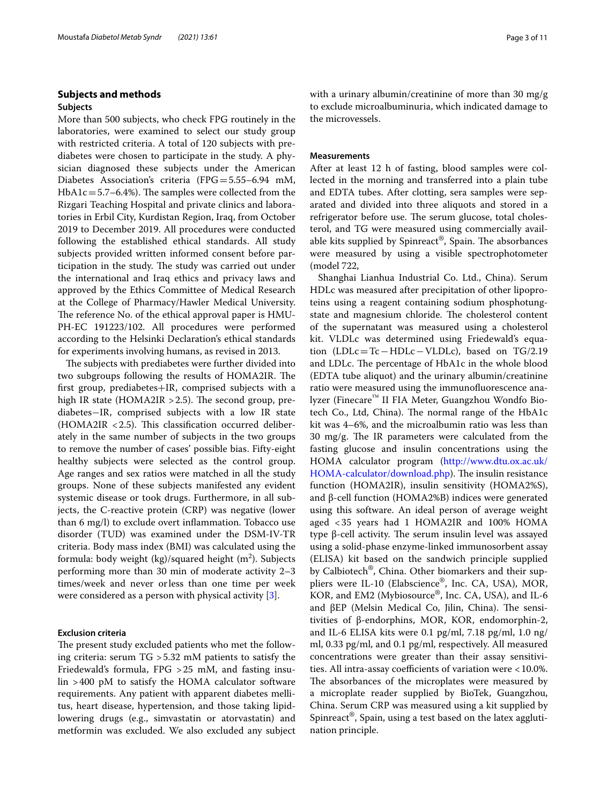# **Subjects and methods**

# **Subjects**

More than 500 subjects, who check FPG routinely in the laboratories, were examined to select our study group with restricted criteria. A total of 120 subjects with prediabetes were chosen to participate in the study. A physician diagnosed these subjects under the American Diabetes Association's criteria (FPG=5.55–6.94 mM,  $HbA1c=5.7-6.4%$ ). The samples were collected from the Rizgari Teaching Hospital and private clinics and laboratories in Erbil City, Kurdistan Region, Iraq, from October 2019 to December 2019. All procedures were conducted following the established ethical standards. All study subjects provided written informed consent before participation in the study. The study was carried out under the international and Iraq ethics and privacy laws and approved by the Ethics Committee of Medical Research at the College of Pharmacy/Hawler Medical University. The reference No. of the ethical approval paper is HMU-PH-EC 191223/102. All procedures were performed according to the Helsinki Declaration's ethical standards for experiments involving humans, as revised in 2013.

The subjects with prediabetes were further divided into two subgroups following the results of HOMA2IR. The frst group, prediabetes+IR, comprised subjects with a high IR state (HOMA2IR  $>$  2.5). The second group, prediabetes−IR, comprised subjects with a low IR state  $(HOMA2IR < 2.5)$ . This classification occurred deliberately in the same number of subjects in the two groups to remove the number of cases' possible bias. Fifty-eight healthy subjects were selected as the control group. Age ranges and sex ratios were matched in all the study groups. None of these subjects manifested any evident systemic disease or took drugs. Furthermore, in all subjects, the C-reactive protein (CRP) was negative (lower than 6 mg/l) to exclude overt infammation. Tobacco use disorder (TUD) was examined under the DSM-IV-TR criteria. Body mass index (BMI) was calculated using the formula: body weight (kg)/squared height (m $^2$ ). Subjects performing more than 30 min of moderate activity 2–3 times/week and never orless than one time per week were considered as a person with physical activity [[3\]](#page-9-2).

## **Exclusion criteria**

The present study excluded patients who met the following criteria: serum TG >5.32 mM patients to satisfy the Friedewald's formula, FPG >25 mM, and fasting insulin >400 pM to satisfy the HOMA calculator software requirements. Any patient with apparent diabetes mellitus, heart disease, hypertension, and those taking lipidlowering drugs (e.g., simvastatin or atorvastatin) and metformin was excluded. We also excluded any subject with a urinary albumin/creatinine of more than 30 mg/g to exclude microalbuminuria, which indicated damage to the microvessels.

## **Measurements**

After at least 12 h of fasting, blood samples were collected in the morning and transferred into a plain tube and EDTA tubes. After clotting, sera samples were separated and divided into three aliquots and stored in a refrigerator before use. The serum glucose, total cholesterol, and TG were measured using commercially available kits supplied by Spinreact<sup>®</sup>, Spain. The absorbances were measured by using a visible spectrophotometer (model 722,

Shanghai Lianhua Industrial Co. Ltd., China). Serum HDLc was measured after precipitation of other lipoproteins using a reagent containing sodium phosphotungstate and magnesium chloride. The cholesterol content of the supernatant was measured using a cholesterol kit. VLDLc was determined using Friedewald's equation (LDLc=Tc−HDLc−VLDLc), based on TG/2.19 and LDLc. The percentage of HbA1c in the whole blood (EDTA tube aliquot) and the urinary albumin/creatinine ratio were measured using the immunofuorescence analyzer (Finecare™ II FIA Meter, Guangzhou Wondfo Biotech Co., Ltd, China). The normal range of the HbA1c kit was 4–6%, and the microalbumin ratio was less than 30  $mg/g$ . The IR parameters were calculated from the fasting glucose and insulin concentrations using the HOMA calculator program ([http://www.dtu.ox.ac.uk/](http://www.dtu.ox.ac.uk/HOMA-calculator/download.php) [HOMA-calculator/download.php](http://www.dtu.ox.ac.uk/HOMA-calculator/download.php)). The insulin resistance function (HOMA2IR), insulin sensitivity (HOMA2%S), and β-cell function (HOMA2%B) indices were generated using this software. An ideal person of average weight aged <35 years had 1 HOMA2IR and 100% HOMA type β-cell activity. The serum insulin level was assayed using a solid-phase enzyme-linked immunosorbent assay (ELISA) kit based on the sandwich principle supplied by Calbiotech®, China. Other biomarkers and their suppliers were IL-10 (Elabscience®, Inc. CA, USA), MOR, KOR, and EM2 (Mybiosource®, Inc. CA, USA), and IL-6 and βEP (Melsin Medical Co, Jilin, China). The sensitivities of β-endorphins, MOR, KOR, endomorphin-2, and IL-6 ELISA kits were 0.1 pg/ml, 7.18 pg/ml, 1.0 ng/ ml, 0.33 pg/ml, and 0.1 pg/ml, respectively. All measured concentrations were greater than their assay sensitivities. All intra-assay coefficients of variation were  $<$  10.0%. The absorbances of the microplates were measured by a microplate reader supplied by BioTek, Guangzhou, China. Serum CRP was measured using a kit supplied by Spinreact®, Spain, using a test based on the latex agglutination principle.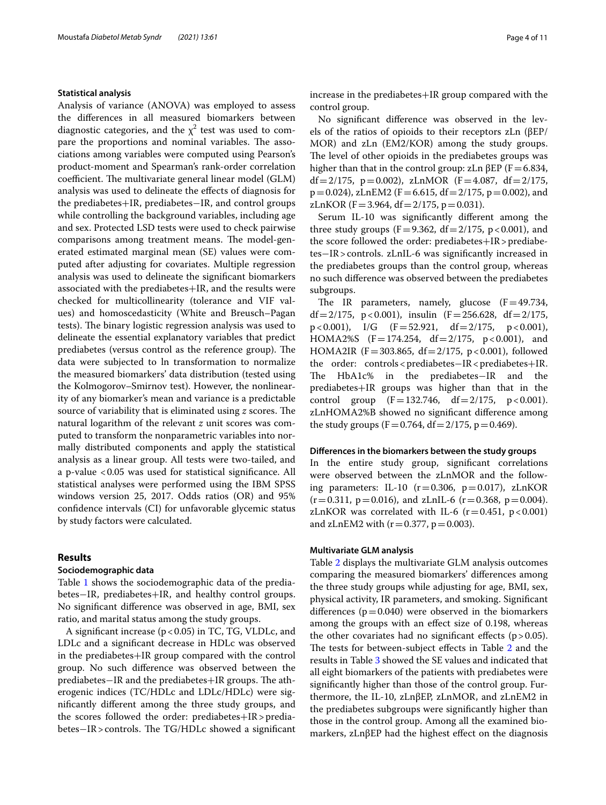## **Statistical analysis**

Analysis of variance (ANOVA) was employed to assess the diferences in all measured biomarkers between diagnostic categories, and the  $\chi^2$  test was used to compare the proportions and nominal variables. The associations among variables were computed using Pearson's product-moment and Spearman's rank-order correlation coefficient. The multivariate general linear model (GLM) analysis was used to delineate the efects of diagnosis for the prediabetes+IR, prediabetes−IR, and control groups while controlling the background variables, including age and sex. Protected LSD tests were used to check pairwise comparisons among treatment means. The model-generated estimated marginal mean (SE) values were computed after adjusting for covariates. Multiple regression analysis was used to delineate the signifcant biomarkers associated with the prediabetes+IR, and the results were checked for multicollinearity (tolerance and VIF values) and homoscedasticity (White and Breusch–Pagan tests). The binary logistic regression analysis was used to delineate the essential explanatory variables that predict prediabetes (versus control as the reference group). The data were subjected to ln transformation to normalize the measured biomarkers' data distribution (tested using the Kolmogorov–Smirnov test). However, the nonlinearity of any biomarker's mean and variance is a predictable source of variability that is eliminated using *z* scores. The natural logarithm of the relevant *z* unit scores was computed to transform the nonparametric variables into normally distributed components and apply the statistical analysis as a linear group. All tests were two-tailed, and a p-value <0.05 was used for statistical signifcance. All statistical analyses were performed using the IBM SPSS windows version 25, 2017. Odds ratios (OR) and 95% confdence intervals (CI) for unfavorable glycemic status by study factors were calculated.

# **Results**

## **Sociodemographic data**

Table [1](#page-4-0) shows the sociodemographic data of the prediabetes−IR, prediabetes+IR, and healthy control groups. No signifcant diference was observed in age, BMI, sex ratio, and marital status among the study groups.

A signifcant increase (p<0.05) in TC, TG, VLDLc, and LDLc and a signifcant decrease in HDLc was observed in the prediabetes+IR group compared with the control group. No such diference was observed between the prediabetes–IR and the prediabetes+IR groups. The atherogenic indices (TC/HDLc and LDLc/HDLc) were signifcantly diferent among the three study groups, and the scores followed the order: prediabetes+IR>prediabetes−IR>controls. The TG/HDLc showed a significant increase in the prediabetes+IR group compared with the control group.

No signifcant diference was observed in the levels of the ratios of opioids to their receptors zLn (βEP/ MOR) and zLn (EM2/KOR) among the study groups. The level of other opioids in the prediabetes groups was higher than that in the control group: zLn  $\beta$ EP (F=6.834, df = 2/175, p = 0.002), zLnMOR (F = 4.087, df = 2/175,  $p=0.024$ ), zLnEM2 (F=6.615, df=2/175, p=0.002), and zLnKOR (F = 3.964, df =  $2/175$ , p = 0.031).

Serum IL-10 was signifcantly diferent among the three study groups (F=9.362, df=2/175, p<0.001), and the score followed the order: prediabetes $+IR>$  prediabetes−IR>controls. zLnIL-6 was signifcantly increased in the prediabetes groups than the control group, whereas no such diference was observed between the prediabetes subgroups.

The IR parameters, namely, glucose  $(F=49.734,$ df = 2/175, p < 0.001), insulin (F = 256.628, df = 2/175, p < 0.001), I/G (F = 52.921, df = 2/175, p < 0.001),  $p < 0.001$ ), I/G (F = 52.921, df = 2/175, HOMA2%S  $(F=174.254, df=2/175, p<0.001)$ , and HOMA2IR (F=303.865, df=2/175, p<0.001), followed the order: controls<prediabetes−IR<prediabetes+IR.<br>The HbA1c% in the prediabetes−IR and the The HbA1c% in the prediabetes-IR prediabetes+IR groups was higher than that in the control group  $(F=132.746, df=2/175, p<0.001)$ . zLnHOMA2%B showed no signifcant diference among the study groups (F = 0.764, df =  $2/175$ , p = 0.469).

### **Diferences in the biomarkers between the study groups**

In the entire study group, signifcant correlations were observed between the zLnMOR and the following parameters: IL-10  $(r=0.306, p=0.017)$ , zLnKOR  $(r=0.311, p=0.016)$ , and zLnIL-6  $(r=0.368, p=0.004)$ . zLnKOR was correlated with IL-6  $(r=0.451, p<0.001)$ and zLnEM2 with  $(r=0.377, p=0.003)$ .

### **Multivariate GLM analysis**

Table [2](#page-5-0) displays the multivariate GLM analysis outcomes comparing the measured biomarkers' diferences among the three study groups while adjusting for age, BMI, sex, physical activity, IR parameters, and smoking. Signifcant differences ( $p=0.040$ ) were observed in the biomarkers among the groups with an efect size of 0.198, whereas the other covariates had no significant effects  $(p > 0.05)$ . The tests for between-subject effects in Table [2](#page-5-0) and the results in Table [3](#page-5-1) showed the SE values and indicated that all eight biomarkers of the patients with prediabetes were signifcantly higher than those of the control group. Furthermore, the IL-10, zLnβEP, zLnMOR, and zLnEM2 in the prediabetes subgroups were signifcantly higher than those in the control group. Among all the examined biomarkers, zLnβEP had the highest efect on the diagnosis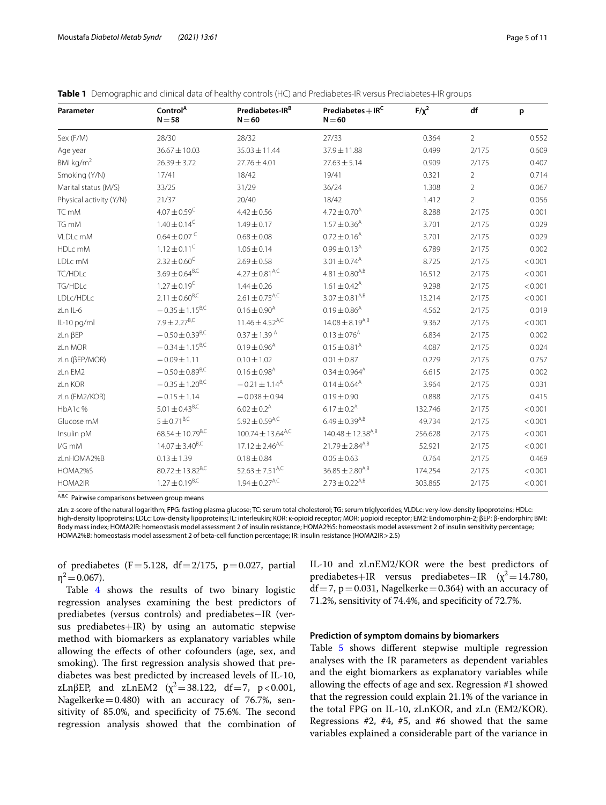| Parameter               | Control <sup>A</sup><br>$N = 58$ | Prediabetes-IR <sup>B</sup><br>$N = 60$ | Prediabetes $+$ IR <sup>C</sup><br>$N = 60$ | $F/\chi^2$ | df             | p       |
|-------------------------|----------------------------------|-----------------------------------------|---------------------------------------------|------------|----------------|---------|
| Sex (F/M)               | 28/30                            | 28/32                                   | 27/33                                       | 0.364      | $\overline{2}$ | 0.552   |
| Age year                | $36.67 \pm 10.03$                | $35.03 \pm 11.44$                       | 37.9±11.88                                  | 0.499      | 2/175          | 0.609   |
| BMI kg/ $m2$            | $26.39 \pm 3.72$                 | $27.76 \pm 4.01$                        | $27.63 \pm 5.14$                            | 0.909      | 2/175          | 0.407   |
| Smoking (Y/N)           | 17/41                            | 18/42                                   | 19/41                                       | 0.321      | $\overline{2}$ | 0.714   |
| Marital status (M/S)    | 33/25                            | 31/29                                   | 36/24                                       | 1.308      | $\overline{2}$ | 0.067   |
| Physical activity (Y/N) | 21/37                            | 20/40                                   | 18/42                                       | 1.412      | $\overline{2}$ | 0.056   |
| TC mM                   | $4.07 \pm 0.59$ <sup>C</sup>     | $4.42 \pm 0.56$                         | $4.72 \pm 0.70$ <sup>A</sup>                | 8.288      | 2/175          | 0.001   |
| TG mM                   | $1.40 \pm 0.14^C$                | $1.49 \pm 0.17$                         | $1.57 \pm 0.36$ <sup>A</sup>                | 3.701      | 2/175          | 0.029   |
| VLDLc mM                | $0.64 \pm 0.07$ <sup>C</sup>     | $0.68 \pm 0.08$                         | $0.72 \pm 0.16$ <sup>A</sup>                | 3.701      | 2/175          | 0.029   |
| HDLc mM                 | $1.12 \pm 0.11^C$                | $1.06 \pm 0.14$                         | $0.99 \pm 0.13^{\text{A}}$                  | 6.789      | 2/175          | 0.002   |
| LDLc mM                 | $2.32 + 0.60^{\circ}$            | $2.69 + 0.58$                           | $3.01 \pm 0.74$ <sup>A</sup>                | 8.725      | 2/175          | < 0.001 |
| TC/HDLc                 | $3.69 \pm 0.64^{\rm B,C}$        | $4.27 \pm 0.81$ <sup>A,C</sup>          | $4.81 \pm 0.80^{A,B}$                       | 16.512     | 2/175          | < 0.001 |
| TG/HDLc                 | $1.27 \pm 0.19$ <sup>C</sup>     | $1.44 \pm 0.26$                         | $1.61 \pm 0.42$ <sup>A</sup>                | 9.298      | 2/175          | < 0.001 |
| LDLc/HDLc               | $2.11 \pm 0.60^{B,C}$            | $2.61 \pm 0.75$ <sup>A,C</sup>          | $3.07 \pm 0.81^{A,B}$                       | 13.214     | 2/175          | < 0.001 |
| zLn IL-6                | $-0.35 \pm 1.15^{B,C}$           | $0.16 \pm 0.90^{\text{A}}$              | $0.19 \pm 0.86$ <sup>A</sup>                | 4.562      | 2/175          | 0.019   |
| IL-10 pg/ml             | $7.9 \pm 2.27$ <sup>B,C</sup>    | $11.46 \pm 4.52$ <sup>A,C</sup>         | $14.08 \pm 8.19^{A,B}$                      | 9.362      | 2/175          | < 0.001 |
| zLn BEP                 | $-0.50 \pm 0.39^{B,C}$           | $0.37 \pm 1.39$ <sup>A</sup>            | $0.13 \pm 0.76$ <sup>A</sup>                | 6.834      | 2/175          | 0.002   |
| zLn MOR                 | $-0.34 \pm 1.15^{B,C}$           | $0.19 \pm 0.96$ <sup>A</sup>            | $0.15 \pm 0.81^{\text{A}}$                  | 4.087      | 2/175          | 0.024   |
| zLn (βEP/MOR)           | $-0.09 \pm 1.11$                 | $0.10 \pm 1.02$                         | $0.01 \pm 0.87$                             | 0.279      | 2/175          | 0.757   |
| zLn EM2                 | $-0.50 \pm 0.89$ <sup>B,C</sup>  | $0.16 \pm 0.98$ <sup>A</sup>            | $0.34 \pm 0.964$ <sup>A</sup>               | 6.615      | 2/175          | 0.002   |
| zLn KOR                 | $-0.35 \pm 1.20^{B,C}$           | $-0.21 \pm 1.14^{\text{A}}$             | $0.14 \pm 0.64^{\text{A}}$                  | 3.964      | 2/175          | 0.031   |
| zLn (EM2/KOR)           | $-0.15 \pm 1.14$                 | $-0.038 \pm 0.94$                       | $0.19 \pm 0.90$                             | 0.888      | 2/175          | 0.415   |
| HbA1c%                  | $5.01 \pm 0.43$ <sup>B,C</sup>   | $6.02 \pm 0.2^{\text{A}}$               | $6.17 \pm 0.2$ <sup>A</sup>                 | 132.746    | 2/175          | < 0.001 |
| Glucose mM              | $5 \pm 0.71^{B,C}$               | 5.92 $\pm$ 0.59 <sup>A,C</sup>          | $6.49 \pm 0.39$ <sup>A,B</sup>              | 49.734     | 2/175          | < 0.001 |
| Insulin pM              | $68.54 \pm 10.79$ <sup>B,C</sup> | $100.74 \pm 13.64$ <sup>A,C</sup>       | $140.48 \pm 12.38$ <sup>A,B</sup>           | 256.628    | 2/175          | < 0.001 |
| I/G mM                  | $14.07 \pm 3.40^{B,C}$           | $17.12 \pm 2.46$ <sup>A,C</sup>         | $21.79 \pm 2.84^{A,B}$                      | 52.921     | 2/175          | < 0.001 |
| zLnHOMA2%B              | $0.13 \pm 1.39$                  | $0.18 \pm 0.84$                         | $0.05 \pm 0.63$                             | 0.764      | 2/175          | 0.469   |
| HOMA2%S                 | $80.72 + 13.82$ <sup>B,C</sup>   | $52.63 + 7.51$ <sup>A,C</sup>           | $36.85 \pm 2.80^{A,B}$                      | 174.254    | 2/175          | < 0.001 |
| HOMA2IR                 | $1.27 \pm 0.19^{B,C}$            | $1.94 \pm 0.27$ <sup>A,C</sup>          | $2.73 \pm 0.22^{A,B}$                       | 303.865    | 2/175          | < 0.001 |

<span id="page-4-0"></span>

| Table 1 Demographic and clinical data of healthy controls (HC) and Prediabetes-IR versus Prediabetes+IR groups |  |
|----------------------------------------------------------------------------------------------------------------|--|
|----------------------------------------------------------------------------------------------------------------|--|

 $\overline{A,B,C}$  Pairwise comparisons between group means

zLn: z-score of the natural logarithm; FPG: fasting plasma glucose; TC: serum total cholesterol; TG: serum triglycerides; VLDLc: very-low-density lipoproteins; HDLc: high-density lipoproteins; LDLc: Low-density lipoproteins; IL: interleukin; KOR: κ-opioid receptor; MOR: µopioid receptor; EM2: Endomorphin-2; βEP: β-endorphin; BMI: Body mass index; HOMA2IR: homeostasis model assessment 2 of insulin resistance; HOMA2%S: homeostasis model assessment 2 of insulin sensitivity percentage; HOMA2%B: homeostasis model assessment 2 of beta-cell function percentage; IR: insulin resistance (HOMA2IR>2.5)

of prediabetes (F=5.128, df=2/175, p=0.027, partial  $\eta^2$  = 0.067).

Table [4](#page-6-0) shows the results of two binary logistic regression analyses examining the best predictors of prediabetes (versus controls) and prediabetes−IR (versus prediabetes+IR) by using an automatic stepwise method with biomarkers as explanatory variables while allowing the efects of other cofounders (age, sex, and smoking). The first regression analysis showed that prediabetes was best predicted by increased levels of IL-10, zLn $\beta$ EP, and zLnEM2 ( $\chi^2$  = 38.122, df = 7, p < 0.001, Nagelkerke $=0.480$ ) with an accuracy of 76.7%, sensitivity of 85.0%, and specificity of 75.6%. The second regression analysis showed that the combination of IL-10 and zLnEM2/KOR were the best predictors of prediabetes+IR versus prediabetes−IR ( $\chi^2$ =14.780,  $df = 7$ ,  $p = 0.031$ , Nagelkerke = 0.364) with an accuracy of 71.2%, sensitivity of 74.4%, and specifcity of 72.7%.

## **Prediction of symptom domains by biomarkers**

Table [5](#page-6-1) shows diferent stepwise multiple regression analyses with the IR parameters as dependent variables and the eight biomarkers as explanatory variables while allowing the efects of age and sex. Regression #1 showed that the regression could explain 21.1% of the variance in the total FPG on IL-10, zLnKOR, and zLn (EM2/KOR). Regressions  $#2, #4, #5, and #6 showed that the same$ variables explained a considerable part of the variance in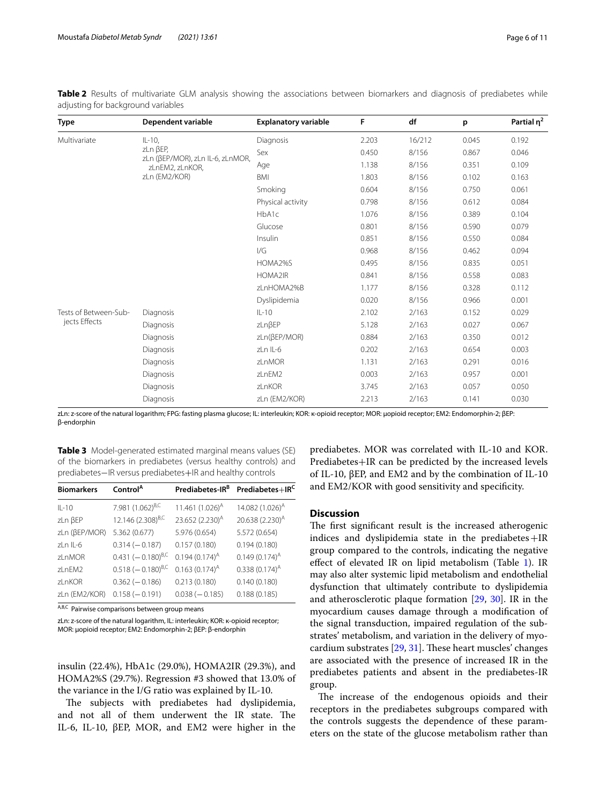| Type                  | Dependent variable                                  | <b>Explanatory variable</b> | F     | df     | p     | Partial $\eta^2$ |
|-----------------------|-----------------------------------------------------|-----------------------------|-------|--------|-------|------------------|
| Multivariate          | $IL-10$ ,                                           | Diagnosis                   | 2.203 | 16/212 | 0.045 | 0.192            |
|                       | zLn BEP,                                            | Sex                         | 0.450 | 8/156  | 0.867 | 0.046            |
|                       | zLn (BEP/MOR), zLn IL-6, zLnMOR,<br>zLnEM2, zLnKOR, | Age                         | 1.138 | 8/156  | 0.351 | 0.109            |
|                       | zLn (EM2/KOR)                                       | <b>BMI</b>                  | 1.803 | 8/156  | 0.102 | 0.163            |
|                       |                                                     | Smoking                     | 0.604 | 8/156  | 0.750 | 0.061            |
|                       |                                                     | Physical activity           | 0.798 | 8/156  | 0.612 | 0.084            |
|                       |                                                     | HbA1c                       | 1.076 | 8/156  | 0.389 | 0.104            |
|                       |                                                     | Glucose                     | 0.801 | 8/156  | 0.590 | 0.079            |
|                       |                                                     | Insulin                     | 0.851 | 8/156  | 0.550 | 0.084            |
|                       |                                                     | 1/G                         | 0.968 | 8/156  | 0.462 | 0.094            |
|                       |                                                     | HOMA2%S                     | 0.495 | 8/156  | 0.835 | 0.051            |
|                       |                                                     | HOMA2IR                     | 0.841 | 8/156  | 0.558 | 0.083            |
|                       |                                                     | zLnHOMA2%B                  | 1.177 | 8/156  | 0.328 | 0.112            |
|                       |                                                     | Dyslipidemia                | 0.020 | 8/156  | 0.966 | 0.001            |
| Tests of Between-Sub- | <b>Diagnosis</b>                                    | $IL-10$                     | 2.102 | 2/163  | 0.152 | 0.029            |
| jects Effects         | Diagnosis                                           | zLnßEP                      | 5.128 | 2/163  | 0.027 | 0.067            |
|                       | Diagnosis                                           | zLn(βEP/MOR)                | 0.884 | 2/163  | 0.350 | 0.012            |
|                       | Diagnosis                                           | zLn IL-6                    | 0.202 | 2/163  | 0.654 | 0.003            |
|                       | Diagnosis                                           | zLnMOR                      | 1.131 | 2/163  | 0.291 | 0.016            |
|                       | Diagnosis                                           | zLnEM2                      | 0.003 | 2/163  | 0.957 | 0.001            |
|                       | Diagnosis                                           | zLnKOR                      | 3.745 | 2/163  | 0.057 | 0.050            |
|                       | Diagnosis                                           | zLn (EM2/KOR)               | 2.213 | 2/163  | 0.141 | 0.030            |

<span id="page-5-0"></span>

|  | Table 2 Results of multivariate GLM analysis showing the associations between biomarkers and diagnosis of prediabetes while |  |  |  |  |  |  |
|--|-----------------------------------------------------------------------------------------------------------------------------|--|--|--|--|--|--|
|  | adjusting for background variables                                                                                          |  |  |  |  |  |  |

zLn: z-score of the natural logarithm; FPG: fasting plasma glucose; IL: interleukin; KOR: κ-opioid receptor; MOR: µopioid receptor; EM2: Endomorphin-2; βEP: β-endorphin

<span id="page-5-1"></span>**Table 3** Model-generated estimated marginal means values (SE) of the biomarkers in prediabetes (versus healthy controls) and prediabetes−IR versus prediabetes+IR and healthy controls

| <b>Biomarkers</b>      | Control <sup>A</sup>          | Prediabetes-IR <sup>B</sup> | Prediabetes+IR <sup>C</sup> |
|------------------------|-------------------------------|-----------------------------|-----------------------------|
| $II - 10$              | 7.981 (1.062) <sup>B,C</sup>  | 11.461 $(1.026)^A$          | 14.082 (1.026) <sup>A</sup> |
| zLn BEP                | 12.146 (2.308) <sup>B,C</sup> | 23.652 (2.230) <sup>A</sup> | 20.638 (2.230) <sup>A</sup> |
| zLn (βEP/MOR)          | 5.362 (0.677)                 | 5.976 (0.654)               | 5.572 (0.654)               |
| $7 \nmid n \mid l - 6$ | $0.314(-0.187)$               | 0.157(0.180)                | 0.194(0.180)                |
| zl nMOR                | $0.431 (-0.180)^{B,C}$        | $0.194(0.174)^{A}$          | $0.149(0.174)^{A}$          |
| zl nFM2                | $0.518 (-0.180)^{B,C}$        | $0.163(0.174)^{A}$          | $0.338(0.174)^A$            |
| zl nKOR                | $0.362(-0.186)$               | 0.213(0.180)                | 0.140(0.180)                |
| zLn (EM2/KOR)          | $0.158(-0.191)$               | $0.038(-0.185)$             | 0.188(0.185)                |

A,B,C Pairwise comparisons between group means

zLn: z-score of the natural logarithm, IL: interleukin; KOR: κ-opioid receptor; MOR: µopioid receptor; EM2: Endomorphin-2; βEP: β-endorphin

insulin (22.4%), HbA1c (29.0%), HOMA2IR (29.3%), and HOMA2%S (29.7%). Regression #3 showed that 13.0% of the variance in the I/G ratio was explained by IL-10.

The subjects with prediabetes had dyslipidemia, and not all of them underwent the IR state. The IL-6, IL-10, βEP, MOR, and EM2 were higher in the

prediabetes. MOR was correlated with IL-10 and KOR. Prediabetes+IR can be predicted by the increased levels of IL-10, βEP, and EM2 and by the combination of IL-10 and EM2/KOR with good sensitivity and specifcity.

# **Discussion**

The first significant result is the increased atherogenic indices and dyslipidemia state in the prediabetes $+IR$ group compared to the controls, indicating the negative efect of elevated IR on lipid metabolism (Table [1\)](#page-4-0). IR may also alter systemic lipid metabolism and endothelial dysfunction that ultimately contribute to dyslipidemia and atherosclerotic plaque formation [\[29](#page-9-29), [30\]](#page-9-30). IR in the myocardium causes damage through a modifcation of the signal transduction, impaired regulation of the substrates' metabolism, and variation in the delivery of myocardium substrates  $[29, 31]$  $[29, 31]$  $[29, 31]$  $[29, 31]$ . These heart muscles' changes are associated with the presence of increased IR in the prediabetes patients and absent in the prediabetes-IR group.

The increase of the endogenous opioids and their receptors in the prediabetes subgroups compared with the controls suggests the dependence of these parameters on the state of the glucose metabolism rather than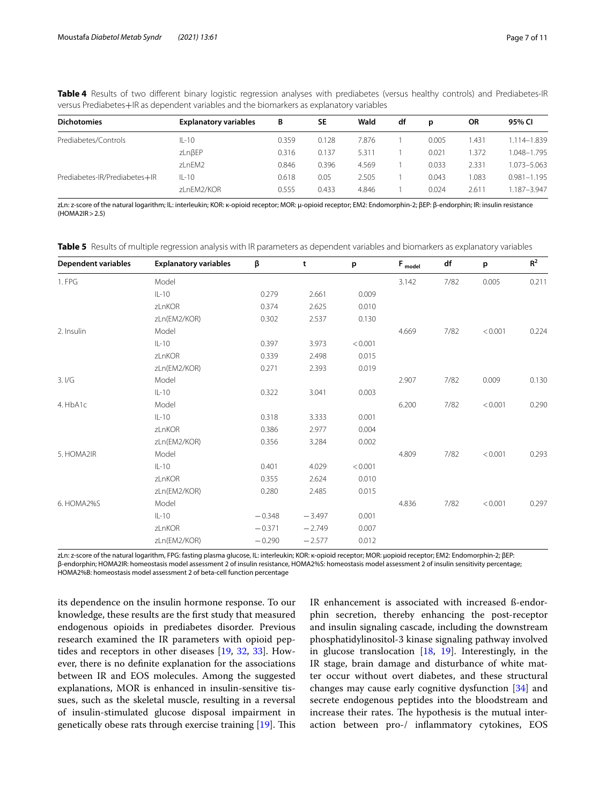<span id="page-6-0"></span>**Table 4** Results of two diferent binary logistic regression analyses with prediabetes (versus healthy controls) and Prediabetes-IR versus Prediabetes+IR as dependent variables and the biomarkers as explanatory variables

| <b>Dichotomies</b>            | <b>Explanatory variables</b> | В     | <b>SE</b> | Wald  | df | D     | <b>OR</b> | 95% CI          |
|-------------------------------|------------------------------|-------|-----------|-------|----|-------|-----------|-----------------|
| Prediabetes/Controls          | $IL-10$                      | 0.359 | 0.128     | 7.876 |    | 0.005 | 1.431     | 1.114-1.839     |
|                               | zLnßEP                       | 0.316 | 0.137     | 5.311 |    | 0.021 | 1.372     | 1.048-1.795     |
|                               | zLnEM2                       | 0.846 | 0.396     | 4.569 |    | 0.033 | 2.331     | 1.073-5.063     |
| Prediabetes-IR/Prediabetes+IR | $IL-10$                      | 0.618 | 0.05      | 2.505 |    | 0.043 | 1.083     | $0.981 - 1.195$ |
|                               | zLnEM2/KOR                   | 0.555 | 0.433     | 4.846 |    | 0.024 | 2.611     | 1.187-3.947     |

zLn: z-score of the natural logarithm; IL: interleukin; KOR: κ-opioid receptor; MOR: µ-opioid receptor; EM2: Endomorphin-2; βEP: β-endorphin; IR: insulin resistance  $(HOMA2IR > 2.5)$ 

<span id="page-6-1"></span>**Table 5** Results of multiple regression analysis with IR parameters as dependent variables and biomarkers as explanatory variables

| <b>Dependent variables</b> | <b>Explanatory variables</b> | β        | t        | p       | $F_{model}$ | df   | p       | $\mathsf{R}^2$ |
|----------------------------|------------------------------|----------|----------|---------|-------------|------|---------|----------------|
| 1. FPG                     | Model                        |          |          |         | 3.142       | 7/82 | 0.005   | 0.211          |
|                            | $IL-10$                      | 0.279    | 2.661    | 0.009   |             |      |         |                |
|                            | zLnKOR                       | 0.374    | 2.625    | 0.010   |             |      |         |                |
|                            | zLn(EM2/KOR)                 | 0.302    | 2.537    | 0.130   |             |      |         |                |
| 2. Insulin                 | Model                        |          |          |         | 4.669       | 7/82 | < 0.001 | 0.224          |
|                            | $IL-10$                      | 0.397    | 3.973    | < 0.001 |             |      |         |                |
|                            | zLnKOR                       | 0.339    | 2.498    | 0.015   |             |      |         |                |
|                            | zLn(EM2/KOR)                 | 0.271    | 2.393    | 0.019   |             |      |         |                |
| 3.1/G                      | Model                        |          |          |         | 2.907       | 7/82 | 0.009   | 0.130          |
|                            | $IL-10$                      | 0.322    | 3.041    | 0.003   |             |      |         |                |
| 4. HbA1c                   | Model                        |          |          |         | 6.200       | 7/82 | < 0.001 | 0.290          |
|                            | $IL-10$                      | 0.318    | 3.333    | 0.001   |             |      |         |                |
|                            | zLnKOR                       | 0.386    | 2.977    | 0.004   |             |      |         |                |
|                            | zLn(EM2/KOR)                 | 0.356    | 3.284    | 0.002   |             |      |         |                |
| 5. HOMA2IR                 | Model                        |          |          |         | 4.809       | 7/82 | < 0.001 | 0.293          |
|                            | $IL-10$                      | 0.401    | 4.029    | < 0.001 |             |      |         |                |
|                            | zLnKOR                       | 0.355    | 2.624    | 0.010   |             |      |         |                |
|                            | zLn(EM2/KOR)                 | 0.280    | 2.485    | 0.015   |             |      |         |                |
| 6. HOMA2%S                 | Model                        |          |          |         | 4.836       | 7/82 | < 0.001 | 0.297          |
|                            | $IL-10$                      | $-0.348$ | $-3.497$ | 0.001   |             |      |         |                |
|                            | zLnKOR                       | $-0.371$ | $-2.749$ | 0.007   |             |      |         |                |
|                            | zLn(EM2/KOR)                 | $-0.290$ | $-2.577$ | 0.012   |             |      |         |                |

zLn: z-score of the natural logarithm, FPG: fasting plasma glucose, IL: interleukin; KOR: κ-opioid receptor; MOR: µopioid receptor; EM2: Endomorphin-2; βEP: β-endorphin; HOMA2IR: homeostasis model assessment 2 of insulin resistance, HOMA2%S: homeostasis model assessment 2 of insulin sensitivity percentage; HOMA2%B: homeostasis model assessment 2 of beta-cell function percentage

its dependence on the insulin hormone response. To our knowledge, these results are the frst study that measured endogenous opioids in prediabetes disorder. Previous research examined the IR parameters with opioid peptides and receptors in other diseases [\[19](#page-9-18), [32,](#page-9-31) [33](#page-9-32)]. However, there is no defnite explanation for the associations between IR and EOS molecules. Among the suggested explanations, MOR is enhanced in insulin-sensitive tissues, such as the skeletal muscle, resulting in a reversal of insulin-stimulated glucose disposal impairment in genetically obese rats through exercise training  $[19]$  $[19]$ . This IR enhancement is associated with increased ß-endorphin secretion, thereby enhancing the post-receptor and insulin signaling cascade, including the downstream phosphatidylinositol-3 kinase signaling pathway involved in glucose translocation [\[18,](#page-9-17) [19](#page-9-18)]. Interestingly, in the IR stage, brain damage and disturbance of white matter occur without overt diabetes, and these structural changes may cause early cognitive dysfunction [[34\]](#page-9-33) and secrete endogenous peptides into the bloodstream and increase their rates. The hypothesis is the mutual interaction between pro-/ infammatory cytokines, EOS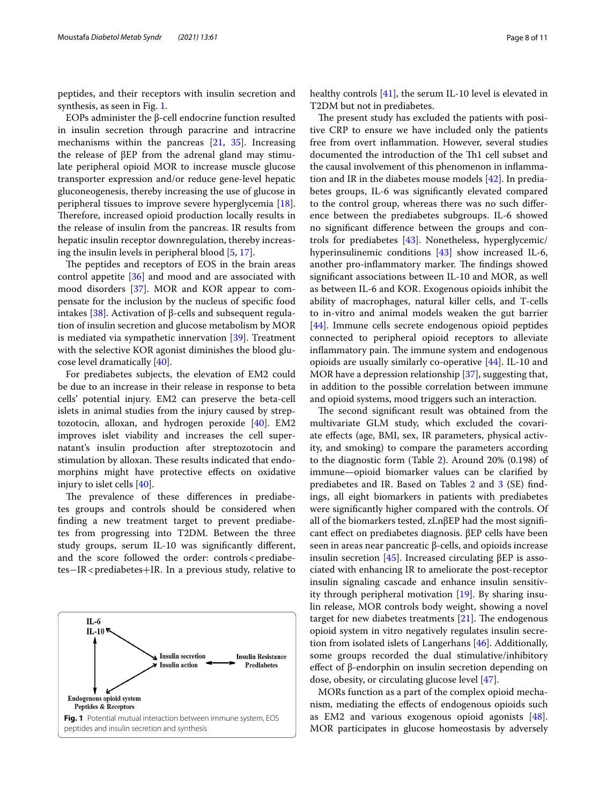peptides, and their receptors with insulin secretion and synthesis, as seen in Fig. [1](#page-7-0).

EOPs administer the β-cell endocrine function resulted in insulin secretion through paracrine and intracrine mechanisms within the pancreas [\[21](#page-9-20), [35\]](#page-9-34). Increasing the release of βEP from the adrenal gland may stimulate peripheral opioid MOR to increase muscle glucose transporter expression and/or reduce gene-level hepatic gluconeogenesis, thereby increasing the use of glucose in peripheral tissues to improve severe hyperglycemia [\[18](#page-9-17)]. Therefore, increased opioid production locally results in the release of insulin from the pancreas. IR results from hepatic insulin receptor downregulation, thereby increasing the insulin levels in peripheral blood [\[5,](#page-9-4) [17](#page-9-16)].

The peptides and receptors of EOS in the brain areas control appetite [\[36](#page-9-35)] and mood and are associated with mood disorders [\[37](#page-9-36)]. MOR and KOR appear to compensate for the inclusion by the nucleus of specifc food intakes [\[38](#page-9-37)]. Activation of β-cells and subsequent regulation of insulin secretion and glucose metabolism by MOR is mediated via sympathetic innervation [\[39\]](#page-9-38). Treatment with the selective KOR agonist diminishes the blood glucose level dramatically [[40\]](#page-9-39).

For prediabetes subjects, the elevation of EM2 could be due to an increase in their release in response to beta cells' potential injury. EM2 can preserve the beta-cell islets in animal studies from the injury caused by streptozotocin, alloxan, and hydrogen peroxide [[40\]](#page-9-39). EM2 improves islet viability and increases the cell supernatant's insulin production after streptozotocin and stimulation by alloxan. These results indicated that endomorphins might have protective efects on oxidative injury to islet cells [\[40](#page-9-39)].

The prevalence of these differences in prediabetes groups and controls should be considered when fnding a new treatment target to prevent prediabetes from progressing into T2DM. Between the three study groups, serum IL-10 was signifcantly diferent, and the score followed the order:  $controls < prediabe-$ tes−IR<prediabetes+IR. In a previous study, relative to

<span id="page-7-0"></span>

The present study has excluded the patients with positive CRP to ensure we have included only the patients free from overt infammation. However, several studies documented the introduction of the Th1 cell subset and the causal involvement of this phenomenon in infammation and IR in the diabetes mouse models [\[42\]](#page-9-41). In prediabetes groups, IL-6 was signifcantly elevated compared to the control group, whereas there was no such diference between the prediabetes subgroups. IL-6 showed no signifcant diference between the groups and controls for prediabetes [[43\]](#page-10-0). Nonetheless, hyperglycemic/ hyperinsulinemic conditions [[43](#page-10-0)] show increased IL-6, another pro-inflammatory marker. The findings showed signifcant associations between IL-10 and MOR, as well as between IL-6 and KOR. Exogenous opioids inhibit the ability of macrophages, natural killer cells, and T-cells to in-vitro and animal models weaken the gut barrier [[44\]](#page-10-1). Immune cells secrete endogenous opioid peptides connected to peripheral opioid receptors to alleviate inflammatory pain. The immune system and endogenous opioids are usually similarly co-operative [[44\]](#page-10-1). IL-10 and MOR have a depression relationship [\[37](#page-9-36)], suggesting that, in addition to the possible correlation between immune and opioid systems, mood triggers such an interaction.

The second significant result was obtained from the multivariate GLM study, which excluded the covariate efects (age, BMI, sex, IR parameters, physical activity, and smoking) to compare the parameters according to the diagnostic form (Table [2](#page-5-0)). Around 20% (0.198) of immune—opioid biomarker values can be clarifed by prediabetes and IR. Based on Tables  $2$  and  $3$  (SE) findings, all eight biomarkers in patients with prediabetes were signifcantly higher compared with the controls. Of all of the biomarkers tested, zLnβEP had the most signifcant efect on prediabetes diagnosis. βEP cells have been seen in areas near pancreatic β-cells, and opioids increase insulin secretion [[45\]](#page-10-2). Increased circulating βEP is associated with enhancing IR to ameliorate the post-receptor insulin signaling cascade and enhance insulin sensitivity through peripheral motivation [[19\]](#page-9-18). By sharing insulin release, MOR controls body weight, showing a novel target for new diabetes treatments  $[21]$  $[21]$ . The endogenous opioid system in vitro negatively regulates insulin secretion from isolated islets of Langerhans [\[46](#page-10-3)]. Additionally, some groups recorded the dual stimulative/inhibitory efect of β-endorphin on insulin secretion depending on dose, obesity, or circulating glucose level [\[47](#page-10-4)].

MORs function as a part of the complex opioid mechanism, mediating the efects of endogenous opioids such as EM2 and various exogenous opioid agonists [\[48](#page-10-5)]. MOR participates in glucose homeostasis by adversely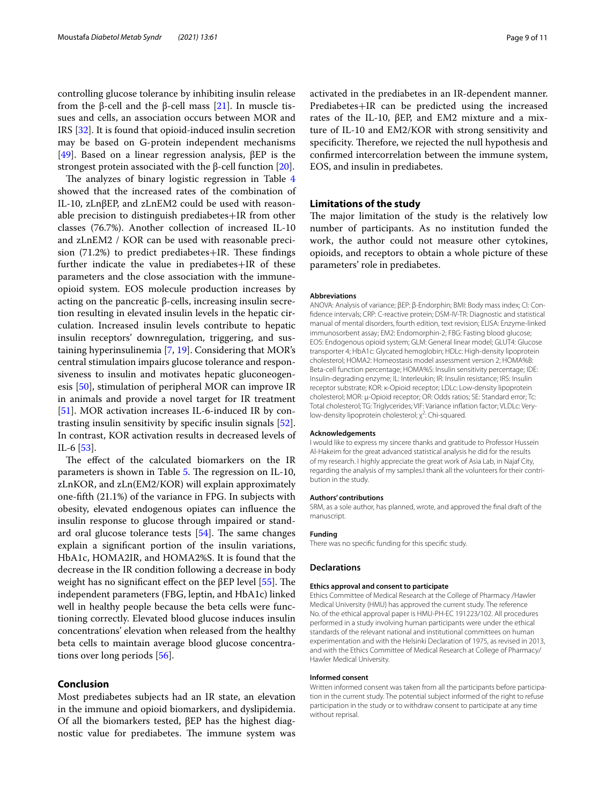controlling glucose tolerance by inhibiting insulin release from the β-cell and the β-cell mass [\[21\]](#page-9-20). In muscle tissues and cells, an association occurs between MOR and IRS [[32\]](#page-9-31). It is found that opioid-induced insulin secretion may be based on G-protein independent mechanisms [[49\]](#page-10-6). Based on a linear regression analysis, βEP is the strongest protein associated with the β-cell function  $[20]$  $[20]$ .

The analyzes of binary logistic regression in Table  $4$ showed that the increased rates of the combination of IL-10, zLnβEP, and zLnEM2 could be used with reasonable precision to distinguish prediabetes+IR from other classes (76.7%). Another collection of increased IL-10 and zLnEM2 / KOR can be used with reasonable precision  $(71.2%)$  to predict prediabetes+IR. These findings further indicate the value in prediabetes+IR of these parameters and the close association with the immuneopioid system. EOS molecule production increases by acting on the pancreatic β-cells, increasing insulin secretion resulting in elevated insulin levels in the hepatic circulation. Increased insulin levels contribute to hepatic insulin receptors' downregulation, triggering, and sustaining hyperinsulinemia [\[7](#page-9-6), [19\]](#page-9-18). Considering that MOR's central stimulation impairs glucose tolerance and responsiveness to insulin and motivates hepatic gluconeogenesis [[50](#page-10-7)], stimulation of peripheral MOR can improve IR in animals and provide a novel target for IR treatment [[51\]](#page-10-8). MOR activation increases IL-6-induced IR by contrasting insulin sensitivity by specifc insulin signals [\[52](#page-10-9)]. In contrast, KOR activation results in decreased levels of IL-6 [[53](#page-10-10)].

The effect of the calculated biomarkers on the IR parameters is shown in Table [5.](#page-6-1) The regression on IL-10, zLnKOR, and zLn(EM2/KOR) will explain approximately one-ffth (21.1%) of the variance in FPG. In subjects with obesity, elevated endogenous opiates can infuence the insulin response to glucose through impaired or standard oral glucose tolerance tests  $[54]$  $[54]$ . The same changes explain a signifcant portion of the insulin variations, HbA1c, HOMA2IR, and HOMA2%S. It is found that the decrease in the IR condition following a decrease in body weight has no significant effect on the βEP level  $[55]$  $[55]$ . The independent parameters (FBG, leptin, and HbA1c) linked well in healthy people because the beta cells were functioning correctly. Elevated blood glucose induces insulin concentrations' elevation when released from the healthy beta cells to maintain average blood glucose concentrations over long periods [[56\]](#page-10-13).

# **Conclusion**

Most prediabetes subjects had an IR state, an elevation in the immune and opioid biomarkers, and dyslipidemia. Of all the biomarkers tested, βEP has the highest diagnostic value for prediabetes. The immune system was activated in the prediabetes in an IR-dependent manner. Prediabetes+IR can be predicted using the increased rates of the IL-10, βEP, and EM2 mixture and a mixture of IL-10 and EM2/KOR with strong sensitivity and specificity. Therefore, we rejected the null hypothesis and confrmed intercorrelation between the immune system, EOS, and insulin in prediabetes.

# **Limitations of the study**

The major limitation of the study is the relatively low number of participants. As no institution funded the work, the author could not measure other cytokines, opioids, and receptors to obtain a whole picture of these parameters' role in prediabetes.

#### **Abbreviations**

ANOVA: Analysis of variance; βEP: β-Endorphin; BMI: Body mass index; CI: Confdence intervals; CRP: C-reactive protein; DSM-IV-TR: Diagnostic and statistical manual of mental disorders, fourth edition, text revision; ELISA: Enzyme-linked immunosorbent assay; EM2: Endomorphin-2; FBG: Fasting blood glucose; EOS: Endogenous opioid system; GLM: General linear model; GLUT4: Glucose transporter 4; HbA1c: Glycated hemoglobin; HDLc: High-density lipoprotein cholesterol; HOMA2: Homeostasis model assessment version 2; HOMA%B: Beta-cell function percentage; HOMA%S: Insulin sensitivity percentage; IDE: Insulin-degrading enzyme; IL: Interleukin; IR: Insulin resistance; IRS: Insulin receptor substrate; KOR: κ-Opioid receptor; LDLc: Low-density lipoprotein cholesterol; MOR: µ-Opioid receptor; OR: Odds ratios; SE: Standard error; Tc: Total cholesterol; TG: Triglycerides; VIF: Variance infation factor; VLDLc: Verylow-density lipoprotein cholesterol; χ<sup>2</sup>: Chi-squared.

#### **Acknowledgements**

I would like to express my sincere thanks and gratitude to Professor Hussein Al-Hakeim for the great advanced statistical analysis he did for the results of my research. I highly appreciate the great work of Asia Lab, in Najaf City, regarding the analysis of my samples.I thank all the volunteers for their contribution in the study.

#### **Authors' contributions**

SRM, as a sole author, has planned, wrote, and approved the fnal draft of the manuscript.

#### **Funding**

There was no specifc funding for this specifc study.

### **Declarations**

### **Ethics approval and consent to participate**

Ethics Committee of Medical Research at the College of Pharmacy /Hawler Medical University (HMU) has approved the current study. The reference No. of the ethical approval paper is HMU-PH-EC 191223/102. All procedures performed in a study involving human participants were under the ethical standards of the relevant national and institutional committees on human experimentation and with the Helsinki Declaration of 1975, as revised in 2013, and with the Ethics Committee of Medical Research at College of Pharmacy/ Hawler Medical University.

### **Informed consent**

Written informed consent was taken from all the participants before participation in the current study. The potential subject informed of the right to refuse participation in the study or to withdraw consent to participate at any time without reprisal.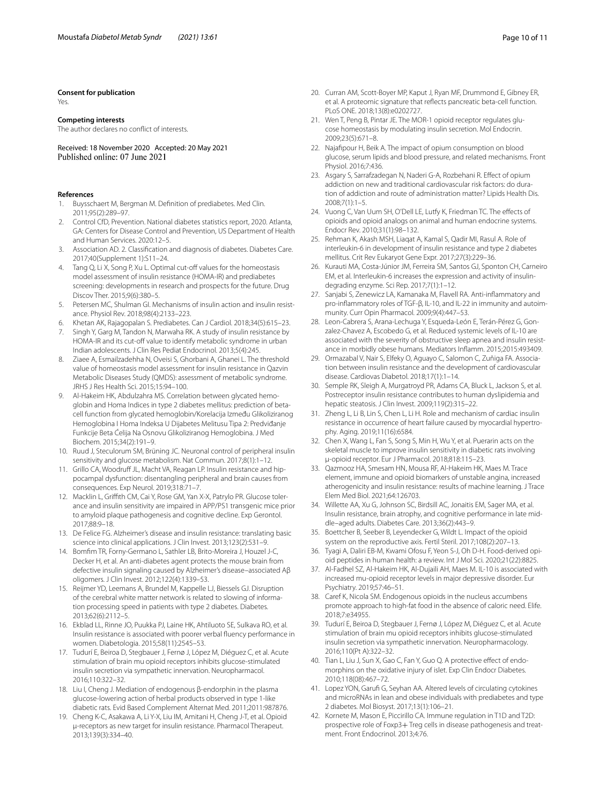### **Consent for publication**

Yes.

### **Competing interests**

The author declares no confict of interests.

Received: 18 November 2020 Accepted: 20 May 2021

### **References**

- <span id="page-9-0"></span>1. Buysschaert M, Bergman M. Defnition of prediabetes. Med Clin. 2011;95(2):289–97.
- <span id="page-9-1"></span>2. Control CfD, Prevention. National diabetes statistics report, 2020. Atlanta, GA: Centers for Disease Control and Prevention, US Department of Health and Human Services. 2020:12–5.
- <span id="page-9-2"></span>3. Association AD. 2. Classifcation and diagnosis of diabetes. Diabetes Care. 2017;40(Supplement 1):S11–24.
- <span id="page-9-3"></span>4. Tang Q, Li X, Song P, Xu L. Optimal cut-off values for the homeostasis model assessment of insulin resistance (HOMA-IR) and prediabetes screening: developments in research and prospects for the future. Drug Discov Ther. 2015;9(6):380–5.
- <span id="page-9-4"></span>5. Petersen MC, Shulman GI. Mechanisms of insulin action and insulin resistance. Physiol Rev. 2018;98(4):2133–223.
- <span id="page-9-5"></span>6. Khetan AK, Rajagopalan S. Prediabetes. Can J Cardiol. 2018;34(5):615–23.
- <span id="page-9-6"></span>Singh Y, Garg M, Tandon N, Marwaha RK. A study of insulin resistance by HOMA-IR and its cut-off value to identify metabolic syndrome in urban Indian adolescents. J Clin Res Pediat Endocrinol. 2013;5(4):245.
- <span id="page-9-7"></span>Ziaee A, Esmailzadehha N, Oveisi S, Ghorbani A, Ghanei L. The threshold value of homeostasis model assessment for insulin resistance in Qazvin Metabolic Diseases Study (QMDS): assessment of metabolic syndrome. JRHS J Res Health Sci. 2015;15:94–100.
- <span id="page-9-8"></span>9. Al-Hakeim HK, Abdulzahra MS. Correlation between glycated hemoglobin and Homa Indices in type 2 diabetes mellitus: prediction of betacell function from glycated hemoglobin/Korelacija Između Glikoliziranog Hemoglobina I Homa Indeksa U Dijabetes Melitusu Tipa 2: Predviđanje Funkcije Beta Ćelija Na Osnovu Glikoliziranog Hemoglobina. J Med Biochem. 2015;34(2):191–9.
- <span id="page-9-9"></span>10. Ruud J, Steculorum SM, Brüning JC. Neuronal control of peripheral insulin sensitivity and glucose metabolism. Nat Commun. 2017;8(1):1–12.
- <span id="page-9-10"></span>11. Grillo CA, Woodruff JL, Macht VA, Reagan LP. Insulin resistance and hippocampal dysfunction: disentangling peripheral and brain causes from consequences. Exp Neurol. 2019;318:71–7.
- <span id="page-9-11"></span>12. Macklin L, Grifth CM, Cai Y, Rose GM, Yan X-X, Patrylo PR. Glucose tolerance and insulin sensitivity are impaired in APP/PS1 transgenic mice prior to amyloid plaque pathogenesis and cognitive decline. Exp Gerontol. 2017;88:9–18.
- <span id="page-9-12"></span>13. De Felice FG. Alzheimer's disease and insulin resistance: translating basic science into clinical applications. J Clin Invest. 2013;123(2):531–9.
- <span id="page-9-13"></span>14. Bomfm TR, Forny-Germano L, Sathler LB, Brito-Moreira J, Houzel J-C, Decker H, et al. An anti-diabetes agent protects the mouse brain from defective insulin signaling caused by Alzheimer's disease–associated Aβ oligomers. J Clin Invest. 2012;122(4):1339–53.
- <span id="page-9-14"></span>15. Reijmer YD, Leemans A, Brundel M, Kappelle LJ, Biessels GJ. Disruption of the cerebral white matter network is related to slowing of information processing speed in patients with type 2 diabetes. Diabetes. 2013;62(6):2112–5.
- <span id="page-9-15"></span>16. Ekblad LL, Rinne JO, Puukka PJ, Laine HK, Ahtiluoto SE, Sulkava RO, et al. Insulin resistance is associated with poorer verbal fuency performance in women. Diabetologia. 2015;58(11):2545–53.
- <span id="page-9-16"></span>17. Tudurí E, Beiroa D, Stegbauer J, Fernø J, López M, Diéguez C, et al. Acute stimulation of brain mu opioid receptors inhibits glucose-stimulated insulin secretion via sympathetic innervation. Neuropharmacol. 2016;110:322–32.
- <span id="page-9-17"></span>18. Liu I, Cheng J. Mediation of endogenous β-endorphin in the plasma glucose-lowering action of herbal products observed in type 1-like diabetic rats. Evid Based Complement Alternat Med. 2011;2011:987876.
- <span id="page-9-18"></span>19. Cheng K-C, Asakawa A, Li Y-X, Liu IM, Amitani H, Cheng J-T, et al. Opioid μ-receptors as new target for insulin resistance. Pharmacol Therapeut. 2013;139(3):334–40.
- <span id="page-9-19"></span>20. Curran AM, Scott-Boyer MP, Kaput J, Ryan MF, Drummond E, Gibney ER, et al. A proteomic signature that refects pancreatic beta-cell function. PLoS ONE. 2018;13(8):e0202727.
- <span id="page-9-20"></span>21. Wen T, Peng B, Pintar JE. The MOR-1 opioid receptor regulates glucose homeostasis by modulating insulin secretion. Mol Endocrin. 2009;23(5):671–8.
- <span id="page-9-21"></span>22. Najafpour H, Beik A. The impact of opium consumption on blood glucose, serum lipids and blood pressure, and related mechanisms. Front Physiol. 2016;7:436.
- <span id="page-9-22"></span>23. Asgary S, Sarrafzadegan N, Naderi G-A, Rozbehani R. Efect of opium addiction on new and traditional cardiovascular risk factors: do duration of addiction and route of administration matter? Lipids Health Dis. 2008;7(1):1–5.
- <span id="page-9-23"></span>24. Vuong C, Van Uum SH, O'Dell LE, Lutfy K, Friedman TC. The effects of opioids and opioid analogs on animal and human endocrine systems. Endocr Rev. 2010;31(1):98–132.
- <span id="page-9-25"></span>25. Rehman K, Akash MSH, Liaqat A, Kamal S, Qadir MI, Rasul A. Role of interleukin-6 in development of insulin resistance and type 2 diabetes mellitus. Crit Rev Eukaryot Gene Expr. 2017;27(3):229–36.
- <span id="page-9-26"></span>26. Kurauti MA, Costa-Júnior JM, Ferreira SM, Santos GJ, Sponton CH, Carneiro EM, et al. Interleukin-6 increases the expression and activity of insulindegrading enzyme. Sci Rep. 2017;7(1):1–12.
- <span id="page-9-27"></span>27. Sanjabi S, Zenewicz LA, Kamanaka M, Flavell RA. Anti-infammatory and pro-infammatory roles of TGF-β, IL-10, and IL-22 in immunity and autoimmunity. Curr Opin Pharmacol. 2009;9(4):447–53.
- <span id="page-9-28"></span>28. Leon-Cabrera S, Arana-Lechuga Y, Esqueda-León E, Terán-Pérez G, Gonzalez-Chavez A, Escobedo G, et al. Reduced systemic levels of IL-10 are associated with the severity of obstructive sleep apnea and insulin resistance in morbidly obese humans. Mediators Infamm. 2015;2015:493409.
- <span id="page-9-29"></span>29. Ormazabal V, Nair S, Elfeky O, Aguayo C, Salomon C, Zuñiga FA. Association between insulin resistance and the development of cardiovascular disease. Cardiovas Diabetol. 2018;17(1):1–14.
- <span id="page-9-30"></span>30. Semple RK, Sleigh A, Murgatroyd PR, Adams CA, Bluck L, Jackson S, et al. Postreceptor insulin resistance contributes to human dyslipidemia and hepatic steatosis. J Clin Invest. 2009;119(2):315–22.
- <span id="page-9-24"></span>31. Zheng L, Li B, Lin S, Chen L, Li H. Role and mechanism of cardiac insulin resistance in occurrence of heart failure caused by myocardial hypertrophy. Aging. 2019;11(16):6584.
- <span id="page-9-31"></span>32. Chen X, Wang L, Fan S, Song S, Min H, Wu Y, et al. Puerarin acts on the skeletal muscle to improve insulin sensitivity in diabetic rats involving μ-opioid receptor. Eur J Pharmacol. 2018;818:115–23.
- <span id="page-9-32"></span>33. Qazmooz HA, Smesam HN, Mousa RF, Al-Hakeim HK, Maes M. Trace element, immune and opioid biomarkers of unstable angina, increased atherogenicity and insulin resistance: results of machine learning. J Trace Elem Med Biol. 2021;64:126703.
- <span id="page-9-33"></span>34. Willette AA, Xu G, Johnson SC, Birdsill AC, Jonaitis EM, Sager MA, et al. Insulin resistance, brain atrophy, and cognitive performance in late middle–aged adults. Diabetes Care. 2013;36(2):443–9.
- <span id="page-9-34"></span>35. Boettcher B, Seeber B, Leyendecker G, Wildt L. Impact of the opioid system on the reproductive axis. Fertil Steril. 2017;108(2):207–13.
- <span id="page-9-35"></span>36. Tyagi A, Daliri EB-M, Kwami Ofosu F, Yeon S-J, Oh D-H. Food-derived opioid peptides in human health: a review. Int J Mol Sci. 2020;21(22):8825.
- <span id="page-9-36"></span>37. Al-Fadhel SZ, Al-Hakeim HK, Al-Dujaili AH, Maes M. IL-10 is associated with increased mu-opioid receptor levels in major depressive disorder. Eur Psychiatry. 2019;57:46–51.
- <span id="page-9-37"></span>38. Caref K, Nicola SM. Endogenous opioids in the nucleus accumbens promote approach to high-fat food in the absence of caloric need. Elife. 2018;7:e34955.
- <span id="page-9-38"></span>39. Tudurí E, Beiroa D, Stegbauer J, Fernø J, López M, Diéguez C, et al. Acute stimulation of brain mu opioid receptors inhibits glucose-stimulated insulin secretion via sympathetic innervation. Neuropharmacology. 2016;110(Pt A):322–32.
- <span id="page-9-39"></span>40. Tian L, Liu J, Sun X, Gao C, Fan Y, Guo Q. A protective effect of endomorphins on the oxidative injury of islet. Exp Clin Endocr Diabetes. 2010;118(08):467–72.
- <span id="page-9-40"></span>41. Lopez YON, Garuf G, Seyhan AA. Altered levels of circulating cytokines and microRNAs in lean and obese individuals with prediabetes and type 2 diabetes. Mol Biosyst. 2017;13(1):106–21.
- <span id="page-9-41"></span>42. Kornete M, Mason E, Piccirillo CA. Immune regulation in T1D and T2D: prospective role of Foxp3+ Treg cells in disease pathogenesis and treatment. Front Endocrinol. 2013;4:76.